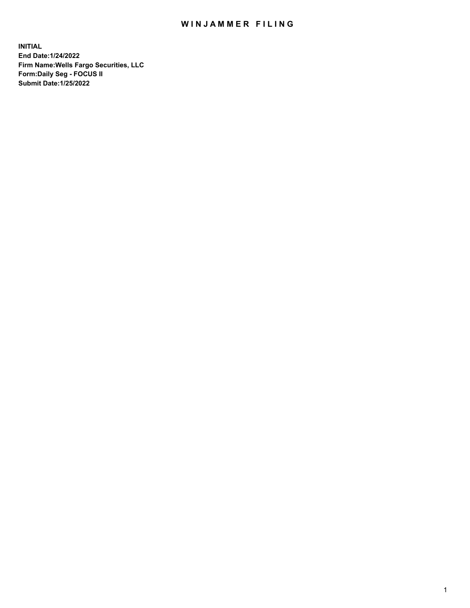## WIN JAMMER FILING

**INITIAL End Date:1/24/2022 Firm Name:Wells Fargo Securities, LLC Form:Daily Seg - FOCUS II Submit Date:1/25/2022**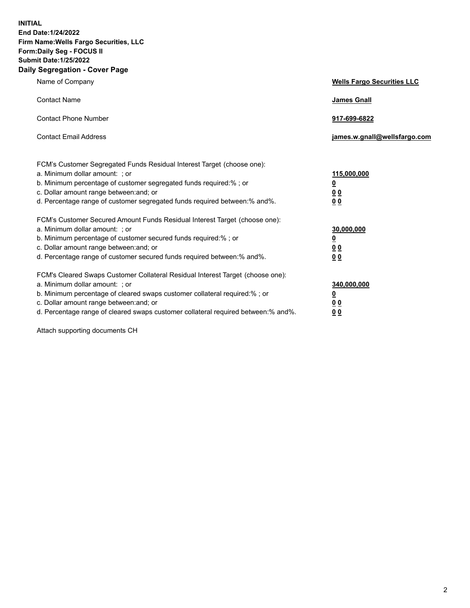**INITIAL End Date:1/24/2022 Firm Name:Wells Fargo Securities, LLC Form:Daily Seg - FOCUS II Submit Date:1/25/2022 Daily Segregation - Cover Page**

| Name of Company                                                                                                                                                                                                                                                                                                                | <b>Wells Fargo Securities LLC</b>                          |
|--------------------------------------------------------------------------------------------------------------------------------------------------------------------------------------------------------------------------------------------------------------------------------------------------------------------------------|------------------------------------------------------------|
| <b>Contact Name</b>                                                                                                                                                                                                                                                                                                            | <b>James Gnall</b>                                         |
| <b>Contact Phone Number</b>                                                                                                                                                                                                                                                                                                    | 917-699-6822                                               |
| <b>Contact Email Address</b>                                                                                                                                                                                                                                                                                                   | james.w.gnall@wellsfargo.com                               |
| FCM's Customer Segregated Funds Residual Interest Target (choose one):<br>a. Minimum dollar amount: ; or<br>b. Minimum percentage of customer segregated funds required:% ; or<br>c. Dollar amount range between: and; or<br>d. Percentage range of customer segregated funds required between:% and%.                         | 115,000,000<br><u>0</u><br>0 <sub>0</sub><br>00            |
| FCM's Customer Secured Amount Funds Residual Interest Target (choose one):<br>a. Minimum dollar amount: ; or<br>b. Minimum percentage of customer secured funds required:%; or<br>c. Dollar amount range between: and; or<br>d. Percentage range of customer secured funds required between:% and%.                            | 30,000,000<br><u>0</u><br>0 <sub>0</sub><br>0 <sub>0</sub> |
| FCM's Cleared Swaps Customer Collateral Residual Interest Target (choose one):<br>a. Minimum dollar amount: ; or<br>b. Minimum percentage of cleared swaps customer collateral required:% ; or<br>c. Dollar amount range between: and; or<br>d. Percentage range of cleared swaps customer collateral required between:% and%. | 340,000,000<br><u>0</u><br>00<br>00                        |

Attach supporting documents CH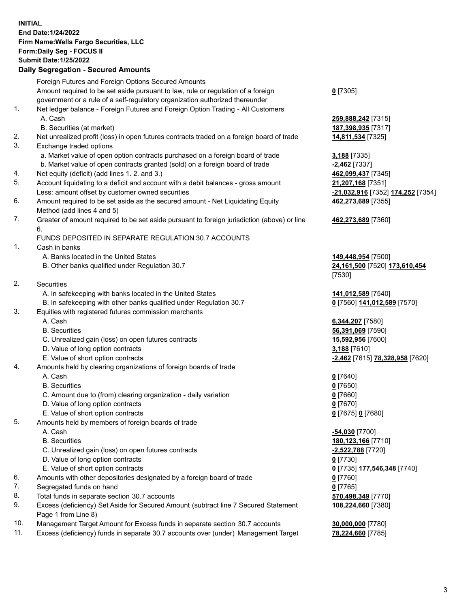**INITIAL End Date:1/24/2022 Firm Name:Wells Fargo Securities, LLC Form:Daily Seg - FOCUS II Submit Date:1/25/2022**

## **Daily Segregation - Secured Amounts**

|     | Foreign Futures and Foreign Options Secured Amounts                                                        |                                   |
|-----|------------------------------------------------------------------------------------------------------------|-----------------------------------|
|     | Amount required to be set aside pursuant to law, rule or regulation of a foreign                           | $0$ [7305]                        |
|     | government or a rule of a self-regulatory organization authorized thereunder                               |                                   |
| 1.  | Net ledger balance - Foreign Futures and Foreign Option Trading - All Customers                            |                                   |
|     | A. Cash                                                                                                    | 259,888,242 [7315]                |
|     | B. Securities (at market)                                                                                  | 187,398,935 [7317]                |
| 2.  | Net unrealized profit (loss) in open futures contracts traded on a foreign board of trade                  | 14,811,534 [7325]                 |
| 3.  | Exchange traded options                                                                                    |                                   |
|     | a. Market value of open option contracts purchased on a foreign board of trade                             | 3,188 [7335]                      |
|     | b. Market value of open contracts granted (sold) on a foreign board of trade                               | $-2,462$ [7337]                   |
| 4.  | Net equity (deficit) (add lines 1. 2. and 3.)                                                              | 462,099,437 [7345]                |
| 5.  | Account liquidating to a deficit and account with a debit balances - gross amount                          | 21,207,168 [7351]                 |
|     | Less: amount offset by customer owned securities                                                           | -21,032,916 [7352] 174,252 [7354] |
| 6.  | Amount required to be set aside as the secured amount - Net Liquidating Equity                             | 462,273,689 [7355]                |
|     | Method (add lines 4 and 5)                                                                                 |                                   |
| 7.  | Greater of amount required to be set aside pursuant to foreign jurisdiction (above) or line                | 462,273,689 [7360]                |
|     | 6.                                                                                                         |                                   |
|     | FUNDS DEPOSITED IN SEPARATE REGULATION 30.7 ACCOUNTS                                                       |                                   |
| 1.  | Cash in banks                                                                                              |                                   |
|     | A. Banks located in the United States                                                                      | 149,448,954 [7500]                |
|     | B. Other banks qualified under Regulation 30.7                                                             | 24,161,500 [7520] 173,610,454     |
|     |                                                                                                            | [7530]                            |
| 2.  | <b>Securities</b>                                                                                          |                                   |
|     | A. In safekeeping with banks located in the United States                                                  | 141,012,589 [7540]                |
|     | B. In safekeeping with other banks qualified under Regulation 30.7                                         | 0 [7560] 141,012,589 [7570]       |
| 3.  | Equities with registered futures commission merchants                                                      |                                   |
|     | A. Cash                                                                                                    | 6,344,207 [7580]                  |
|     | <b>B.</b> Securities                                                                                       | 56,391,069 [7590]                 |
|     | C. Unrealized gain (loss) on open futures contracts                                                        | 15,592,956 [7600]                 |
|     | D. Value of long option contracts                                                                          | 3,188 [7610]                      |
|     | E. Value of short option contracts                                                                         | -2,462 [7615] 78,328,958 [7620]   |
| 4.  | Amounts held by clearing organizations of foreign boards of trade                                          |                                   |
|     | A. Cash                                                                                                    | $0$ [7640]                        |
|     | <b>B.</b> Securities                                                                                       | $0$ [7650]                        |
|     | C. Amount due to (from) clearing organization - daily variation                                            | $0$ [7660]                        |
|     | D. Value of long option contracts                                                                          | $0$ [7670]                        |
|     | E. Value of short option contracts                                                                         | 0 [7675] 0 [7680]                 |
| 5.  | Amounts held by members of foreign boards of trade                                                         |                                   |
|     | A. Cash                                                                                                    | $-54,030$ [7700]                  |
|     | <b>B.</b> Securities                                                                                       | 180,123,166 [7710]                |
|     | C. Unrealized gain (loss) on open futures contracts                                                        | <u>-2,522,788</u> [7720]          |
|     | D. Value of long option contracts                                                                          | $0$ [7730]                        |
|     | E. Value of short option contracts                                                                         | 0 [7735] 177,546,348 [7740]       |
| 6.  | Amounts with other depositories designated by a foreign board of trade                                     | $0$ [7760]                        |
| 7.  | Segregated funds on hand                                                                                   | $0$ [7765]                        |
| 8.  | Total funds in separate section 30.7 accounts                                                              | 570,498,349 [7770]                |
| 9.  | Excess (deficiency) Set Aside for Secured Amount (subtract line 7 Secured Statement<br>Page 1 from Line 8) | 108,224,660 [7380]                |
| 10. | Management Target Amount for Excess funds in separate section 30.7 accounts                                | 30,000,000 [7780]                 |

11. Excess (deficiency) funds in separate 30.7 accounts over (under) Management Target **78,224,660** [7785]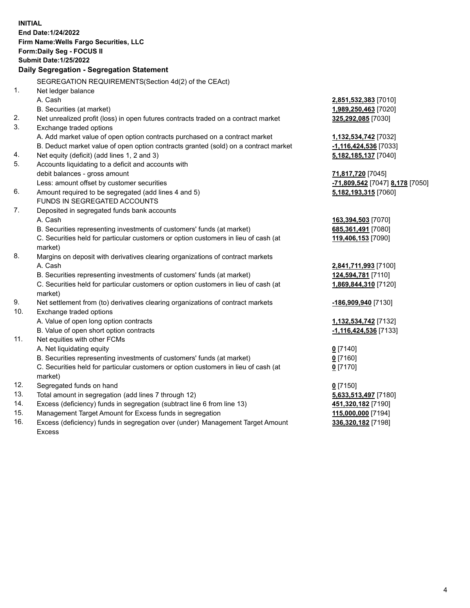**INITIAL End Date:1/24/2022 Firm Name:Wells Fargo Securities, LLC Form:Daily Seg - FOCUS II Submit Date:1/25/2022 Daily Segregation - Segregation Statement** SEGREGATION REQUIREMENTS(Section 4d(2) of the CEAct) 1. Net ledger balance A. Cash **2,851,532,383** [7010] B. Securities (at market) **1,989,250,463** [7020] 2. Net unrealized profit (loss) in open futures contracts traded on a contract market **325,292,085** [7030] 3. Exchange traded options A. Add market value of open option contracts purchased on a contract market **1,132,534,742** [7032] B. Deduct market value of open option contracts granted (sold) on a contract market **-1,116,424,536** [7033] 4. Net equity (deficit) (add lines 1, 2 and 3) **5,182,185,137** [7040] 5. Accounts liquidating to a deficit and accounts with debit balances - gross amount **71,817,720** [7045] Less: amount offset by customer securities **-71,809,542** [7047] **8,178** [7050] 6. Amount required to be segregated (add lines 4 and 5) **5,182,193,315** [7060] FUNDS IN SEGREGATED ACCOUNTS 7. Deposited in segregated funds bank accounts A. Cash **163,394,503** [7070] B. Securities representing investments of customers' funds (at market) **685,361,491** [7080] C. Securities held for particular customers or option customers in lieu of cash (at market) **119,406,153** [7090] 8. Margins on deposit with derivatives clearing organizations of contract markets A. Cash **2,841,711,993** [7100] B. Securities representing investments of customers' funds (at market) **124,594,781** [7110] C. Securities held for particular customers or option customers in lieu of cash (at market) **1,869,844,310** [7120] 9. Net settlement from (to) derivatives clearing organizations of contract markets **-186,909,940** [7130] 10. Exchange traded options A. Value of open long option contracts **1,132,534,742** [7132] B. Value of open short option contracts **-1,116,424,536** [7133] 11. Net equities with other FCMs A. Net liquidating equity **0** [7140] B. Securities representing investments of customers' funds (at market) **0** [7160] C. Securities held for particular customers or option customers in lieu of cash (at market) **0** [7170] 12. Segregated funds on hand **0** [7150] 13. Total amount in segregation (add lines 7 through 12) **5,633,513,497** [7180] 14. Excess (deficiency) funds in segregation (subtract line 6 from line 13) **451,320,182** [7190] 15. Management Target Amount for Excess funds in segregation **115,000,000** [7194] 16. Excess (deficiency) funds in segregation over (under) Management Target Amount **336,320,182** [7198]

Excess